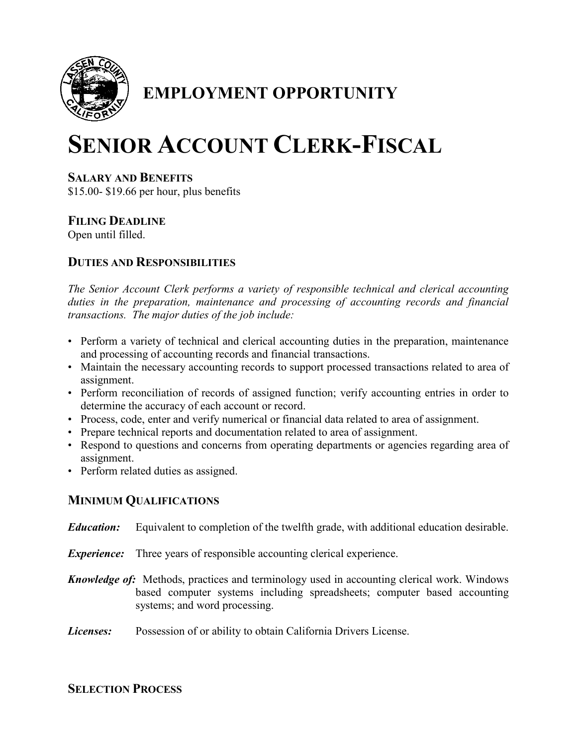

## **EMPLOYMENT OPPORTUNITY**

# **SENIOR ACCOUNT CLERK-FISCAL**

#### **SALARY AND BENEFITS**

\$15.00- \$19.66 per hour, plus benefits

### **FILING DEADLINE**

Open until filled.

#### **DUTIES AND RESPONSIBILITIES**

*The Senior Account Clerk performs a variety of responsible technical and clerical accounting duties in the preparation, maintenance and processing of accounting records and financial transactions. The major duties of the job include:*

- Perform a variety of technical and clerical accounting duties in the preparation, maintenance and processing of accounting records and financial transactions.
- Maintain the necessary accounting records to support processed transactions related to area of assignment.
- Perform reconciliation of records of assigned function; verify accounting entries in order to determine the accuracy of each account or record.
- Process, code, enter and verify numerical or financial data related to area of assignment.
- Prepare technical reports and documentation related to area of assignment.
- Respond to questions and concerns from operating departments or agencies regarding area of assignment.
- Perform related duties as assigned.

#### **MINIMUM QUALIFICATIONS**

- *Education:* Equivalent to completion of the twelfth grade, with additional education desirable.
- *Experience:* Three years of responsible accounting clerical experience.
- *Knowledge of:* Methods, practices and terminology used in accounting clerical work. Windows based computer systems including spreadsheets; computer based accounting systems; and word processing.
- *Licenses:* Possession of or ability to obtain California Drivers License.

#### **SELECTION PROCESS**